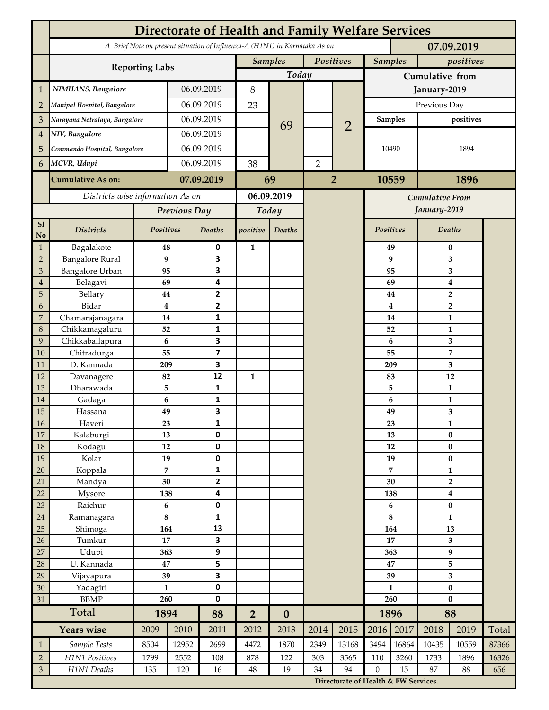|                | <b>Directorate of Health and Family Welfare Services</b>                                 |                  |            |                         |                |                  |                |                                        |                 |                             |                         |                           |       |  |
|----------------|------------------------------------------------------------------------------------------|------------------|------------|-------------------------|----------------|------------------|----------------|----------------------------------------|-----------------|-----------------------------|-------------------------|---------------------------|-------|--|
|                | A Brief Note on present situation of Influenza-A (H1N1) in Karnataka As on<br>07.09.2019 |                  |            |                         |                |                  |                |                                        |                 |                             |                         |                           |       |  |
|                | <b>Reporting Labs</b>                                                                    |                  |            |                         | <b>Samples</b> |                  | Positives      |                                        |                 | <b>Samples</b><br>positives |                         |                           |       |  |
|                |                                                                                          |                  |            |                         | Today          |                  |                |                                        | Cumulative from |                             |                         |                           |       |  |
| $\mathbf{1}$   | NIMHANS, Bangalore                                                                       | 06.09.2019       |            | 8                       |                |                  |                |                                        | January-2019    |                             |                         |                           |       |  |
| $\overline{2}$ | Manipal Hospital, Bangalore                                                              |                  |            | 06.09.2019              |                |                  |                |                                        | Previous Day    |                             |                         |                           |       |  |
| 3              | Narayana Netralaya, Bangalore                                                            |                  |            | 06.09.2019              |                |                  |                | $\overline{2}$                         | <b>Samples</b>  |                             | positives               |                           |       |  |
| $\overline{4}$ | NIV, Bangalore                                                                           |                  | 06.09.2019 |                         |                | 69               |                |                                        | 10490           |                             | 1894                    |                           |       |  |
| 5              | Commando Hospital, Bangalore                                                             |                  | 06.09.2019 |                         |                |                  |                |                                        |                 |                             |                         |                           |       |  |
| 6              | MCVR, Udupi                                                                              |                  | 06.09.2019 |                         | 38             |                  | $\overline{2}$ |                                        |                 |                             |                         |                           |       |  |
|                | <b>Cumulative As on:</b>                                                                 |                  |            | 07.09.2019              |                | 69               | $\overline{2}$ |                                        | 10559           |                             | 1896                    |                           |       |  |
|                | Districts wise information As on                                                         |                  |            | 06.09.2019              |                |                  |                |                                        |                 |                             |                         |                           |       |  |
|                |                                                                                          | Previous Day     |            | Today                   |                |                  |                | <b>Cumulative From</b><br>January-2019 |                 |                             |                         |                           |       |  |
| S1             |                                                                                          |                  |            |                         |                |                  |                |                                        |                 |                             |                         |                           |       |  |
| No             | <b>Districts</b>                                                                         | Positives        |            | Deaths                  | positive       | Deaths           |                |                                        | Positives       |                             |                         | Deaths                    |       |  |
| $\mathbf{1}$   | Bagalakote                                                                               | 48               |            | 0                       | $\mathbf{1}$   |                  |                |                                        |                 | 49                          | $\bf{0}$                |                           |       |  |
| $\overline{2}$ | <b>Bangalore Rural</b>                                                                   | 9                |            | 3                       |                |                  |                |                                        |                 | 9                           | 3                       |                           |       |  |
| 3              | <b>Bangalore Urban</b>                                                                   | 95               |            | 3                       |                |                  |                |                                        |                 | 95                          | 3                       |                           |       |  |
| $\overline{4}$ | Belagavi                                                                                 | 69               |            | 4                       |                |                  |                |                                        |                 | 69                          |                         | $\boldsymbol{4}$          |       |  |
| 5              | Bellary<br>Bidar                                                                         | 44<br>$\bf{4}$   |            | 2<br>$\mathbf{2}$       |                |                  |                |                                        |                 | 44<br>4                     |                         | $\overline{2}$            |       |  |
| 6<br>7         | Chamarajanagara                                                                          | 14               |            | 1                       |                |                  |                |                                        |                 | 14                          | $\overline{2}$<br>1     |                           |       |  |
| 8              | Chikkamagaluru                                                                           | 52               |            | 1                       |                |                  |                |                                        |                 | 52                          |                         | 1                         |       |  |
| 9              | Chikkaballapura                                                                          | 6                |            | 3                       |                |                  |                |                                        |                 | 6                           |                         | 3                         |       |  |
| 10             | Chitradurga                                                                              | 55               |            | $\overline{\mathbf{z}}$ |                |                  |                |                                        |                 | 55                          |                         | 7                         |       |  |
| 11             | D. Kannada                                                                               | 209              |            | 3                       |                |                  |                |                                        |                 | 209                         |                         | 3                         |       |  |
| 12             | Davanagere                                                                               | 82               |            | 12                      | $\mathbf{1}$   |                  |                |                                        |                 | 83                          |                         | 12                        |       |  |
| 13             | Dharawada                                                                                | 5                |            | 1                       |                |                  |                |                                        |                 | 5                           |                         | $\mathbf{1}$              |       |  |
| 14             | Gadaga                                                                                   | 6                |            | 1                       |                |                  |                |                                        |                 | 6                           | 1                       |                           |       |  |
| 15             | Hassana                                                                                  | 49               |            | 3                       |                |                  |                |                                        |                 | 49                          | 3                       |                           |       |  |
| <b>16</b>      | Haveri                                                                                   | 23               |            | 1                       |                |                  |                |                                        |                 | 23                          | 1                       |                           |       |  |
| 17             | Kalaburgi                                                                                | 13<br>12         |            | 0                       |                |                  |                |                                        |                 | 13                          | $\pmb{0}$<br>$\pmb{0}$  |                           |       |  |
| 18<br>19       | Kodagu<br>Kolar                                                                          | 19               |            | $\pmb{0}$<br>0          |                |                  |                |                                        |                 | 12                          |                         |                           |       |  |
| 20             | Koppala                                                                                  | $\overline{7}$   |            | 1                       |                |                  |                |                                        |                 | 19<br>7                     |                         | $\pmb{0}$<br>$\mathbf{1}$ |       |  |
| 21             | Mandya                                                                                   | $30\,$           |            | 2                       |                |                  |                |                                        | 30              |                             | $\mathbf{2}$            |                           |       |  |
| 22             | Mysore                                                                                   | 138              |            | 4                       |                |                  |                |                                        | 138             |                             |                         | $\boldsymbol{4}$          |       |  |
| 23             | Raichur                                                                                  | $\bf 6$          |            | $\pmb{0}$               |                |                  |                |                                        | 6               |                             | $\pmb{0}$               |                           |       |  |
| $24\,$         | Ramanagara                                                                               | $\bf 8$          |            | 1                       |                |                  |                |                                        | 8               |                             | $\mathbf{1}$            |                           |       |  |
| 25             | Shimoga                                                                                  | 164              |            | 13                      |                |                  |                |                                        |                 | 164                         | 13                      |                           |       |  |
| 26             | Tumkur                                                                                   | 17               |            | 3                       |                |                  |                |                                        | 17              |                             | 3                       |                           |       |  |
| 27             | Udupi                                                                                    | 363              |            | 9                       |                |                  |                |                                        | 363             |                             | 9                       |                           |       |  |
| 28             | U. Kannada                                                                               | 47               |            | 5                       |                |                  |                |                                        | 47              |                             | 5                       |                           |       |  |
| 29             | Vijayapura                                                                               | 39               |            | 3                       |                |                  |                |                                        | 39              |                             | $\overline{\mathbf{3}}$ |                           |       |  |
| 30             | Yadagiri                                                                                 | $\mathbf{1}$     |            | 0                       |                |                  |                |                                        | $\mathbf{1}$    |                             | $\pmb{0}$               |                           |       |  |
| 31             | <b>BBMP</b>                                                                              | 260              |            | 0                       |                |                  |                |                                        | 260             |                             | $\bf{0}$                |                           |       |  |
|                | Total                                                                                    | 1894             |            | 88                      | $\overline{2}$ | $\boldsymbol{0}$ |                |                                        |                 | 1896                        | 88                      |                           |       |  |
|                | <b>Years wise</b>                                                                        | 2009             | 2010       | 2011                    | 2012           | 2013             | 2014           | 2015                                   | 2016            | 2017                        | 2018                    | 2019                      | Total |  |
| $\mathbf{1}$   | Sample Tests                                                                             | 8504             | 12952      | 2699                    | 4472           | 1870             | 2349           | 13168                                  | 3494            | 16864                       | 10435                   | 10559                     | 87366 |  |
| $\overline{2}$ | H1N1 Positives                                                                           | 1799             | 2552       | 108                     | 878            | 122              | 303            | 3565                                   | 110             | 3260                        | 1733                    | 1896                      | 16326 |  |
| $\mathfrak{Z}$ | H1N1 Deaths                                                                              | 135<br>120<br>16 |            | $48\,$                  | 19             | 34               | 94             | $\boldsymbol{0}$<br>15                 |                 | 87<br>88                    |                         | 656                       |       |  |
|                |                                                                                          |                  |            |                         |                |                  |                | Directorate of Health & FW Services.   |                 |                             |                         |                           |       |  |